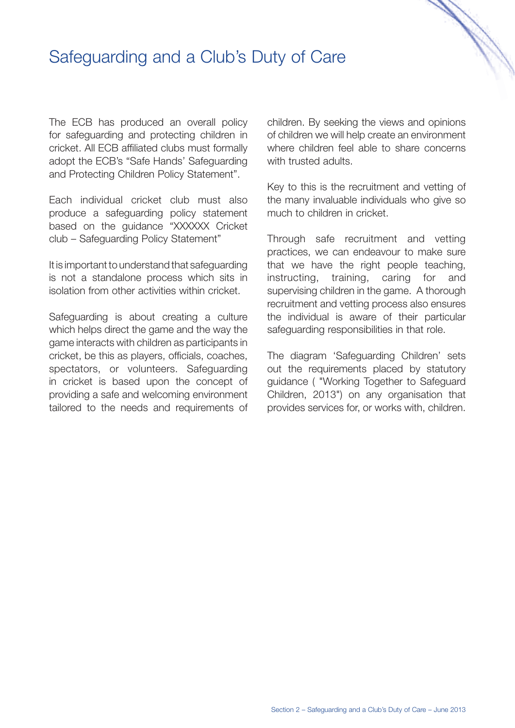## Safeguarding and a Club's Duty of Care

The ECB has produced an overall policy for safeguarding and protecting children in cricket. All ECB affiliated clubs must formally adopt the ECB's "Safe Hands' Safeguarding and Protecting Children Policy Statement".

Each individual cricket club must also produce a safeguarding policy statement based on the guidance "XXXXXX Cricket club – Safeguarding Policy Statement"

It is important to understand that safeguarding is not a standalone process which sits in isolation from other activities within cricket.

Safeguarding is about creating a culture which helps direct the game and the way the game interacts with children as participants in cricket, be this as players, officials, coaches, spectators, or volunteers. Safeguarding in cricket is based upon the concept of providing a safe and welcoming environment tailored to the needs and requirements of children. By seeking the views and opinions of children we will help create an environment where children feel able to share concerns with trusted adults.

e de la cardina de la cardina de la cardina de la cardina de la cardina de la cardina de la cardina de la cardina de la cardina de la cardina de la cardina de la cardina de la cardina de la cardina de la cardina de la card

Key to this is the recruitment and vetting of the many invaluable individuals who give so much to children in cricket.

Through safe recruitment and vetting practices, we can endeavour to make sure that we have the right people teaching, instructing, training, caring for and supervising children in the game. A thorough recruitment and vetting process also ensures the individual is aware of their particular safeguarding responsibilities in that role.

The diagram 'Safeguarding Children' sets out the requirements placed by statutory guidance ( "Working Together to Safeguard Children, 2013") on any organisation that provides services for, or works with, children.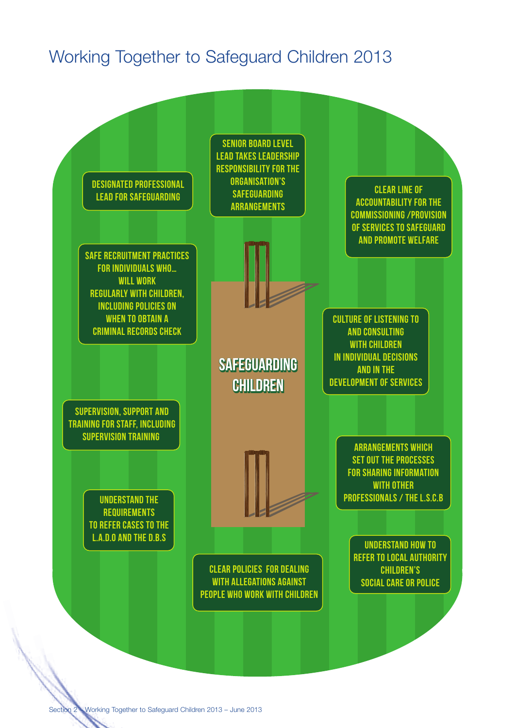# Working Together to Safeguard Children 2013

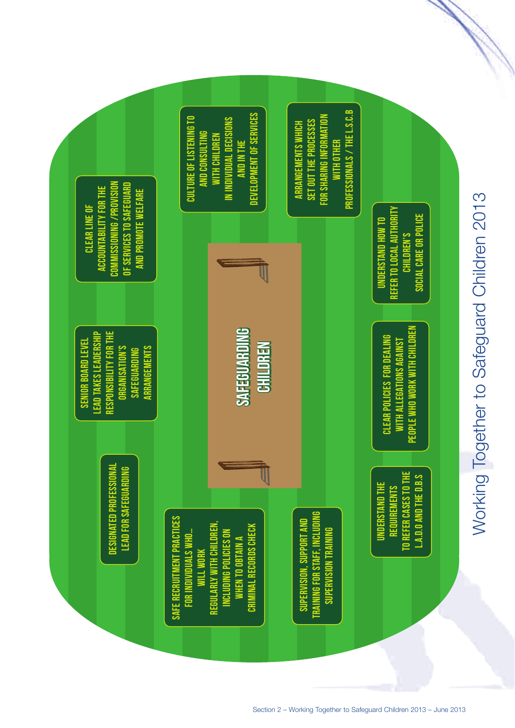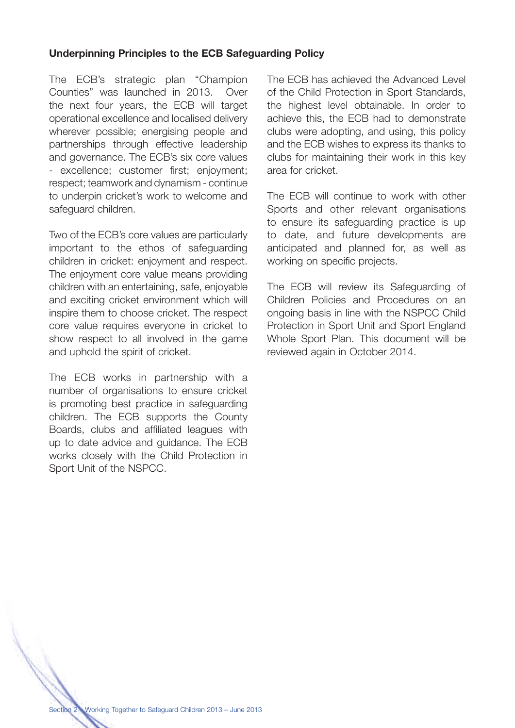### **Underpinning Principles to the ECB Safeguarding Policy**

The ECB's strategic plan "Champion Counties" was launched in 2013. Over the next four years, the ECB will target operational excellence and localised delivery wherever possible; energising people and partnerships through effective leadership and governance. The ECB's six core values - excellence; customer first; enjoyment; respect; teamwork and dynamism - continue to underpin cricket's work to welcome and safeguard children.

Two of the ECB's core values are particularly important to the ethos of safeguarding children in cricket: enjoyment and respect. The enjoyment core value means providing children with an entertaining, safe, enjoyable and exciting cricket environment which will inspire them to choose cricket. The respect core value requires everyone in cricket to show respect to all involved in the game and uphold the spirit of cricket.

The ECB works in partnership with a number of organisations to ensure cricket is promoting best practice in safeguarding children. The ECB supports the County Boards, clubs and affiliated leagues with up to date advice and guidance. The ECB works closely with the Child Protection in Sport Unit of the NSPCC.

The ECB has achieved the Advanced Level of the Child Protection in Sport Standards, the highest level obtainable. In order to achieve this, the ECB had to demonstrate clubs were adopting, and using, this policy and the ECB wishes to express its thanks to clubs for maintaining their work in this key area for cricket.

The ECB will continue to work with other Sports and other relevant organisations to ensure its safeguarding practice is up to date, and future developments are anticipated and planned for, as well as working on specific projects.

The ECB will review its Safeguarding of Children Policies and Procedures on an ongoing basis in line with the NSPCC Child Protection in Sport Unit and Sport England Whole Sport Plan. This document will be reviewed again in October 2014.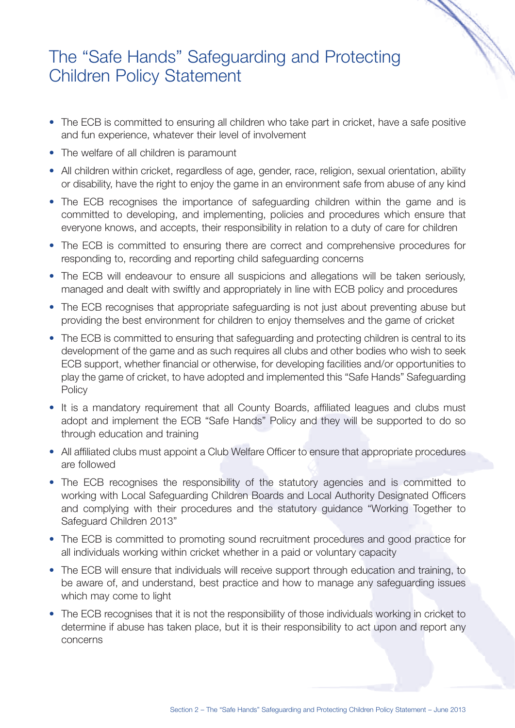## The "Safe Hands" Safeguarding and Protecting Children Policy Statement

• The ECB is committed to ensuring all children who take part in cricket, have a safe positive and fun experience, whatever their level of involvement

e de la calabridad de la calabridad de la calabridad de la calabridad de la calabridad de la calabridad de la calabridad de la calabridad de la calabridad de la calabridad de la calabridad de la calabridad de la calabridad

- The welfare of all children is paramount
- All children within cricket, regardless of age, gender, race, religion, sexual orientation, ability or disability, have the right to enjoy the game in an environment safe from abuse of any kind
- The ECB recognises the importance of safeguarding children within the game and is committed to developing, and implementing, policies and procedures which ensure that everyone knows, and accepts, their responsibility in relation to a duty of care for children
- The ECB is committed to ensuring there are correct and comprehensive procedures for responding to, recording and reporting child safeguarding concerns
- The ECB will endeavour to ensure all suspicions and allegations will be taken seriously, managed and dealt with swiftly and appropriately in line with ECB policy and procedures
- The ECB recognises that appropriate safeguarding is not just about preventing abuse but providing the best environment for children to enjoy themselves and the game of cricket
- The ECB is committed to ensuring that safeguarding and protecting children is central to its development of the game and as such requires all clubs and other bodies who wish to seek ECB support, whether financial or otherwise, for developing facilities and/or opportunities to play the game of cricket, to have adopted and implemented this "Safe Hands" Safeguarding **Policy**
- It is a mandatory requirement that all County Boards, affiliated leagues and clubs must adopt and implement the ECB "Safe Hands" Policy and they will be supported to do so through education and training
- All affiliated clubs must appoint a Club Welfare Officer to ensure that appropriate procedures are followed
- The ECB recognises the responsibility of the statutory agencies and is committed to working with Local Safeguarding Children Boards and Local Authority Designated Officers and complying with their procedures and the statutory guidance "Working Together to Safeguard Children 2013"
- The ECB is committed to promoting sound recruitment procedures and good practice for all individuals working within cricket whether in a paid or voluntary capacity
- The ECB will ensure that individuals will receive support through education and training, to be aware of, and understand, best practice and how to manage any safeguarding issues which may come to light
- The ECB recognises that it is not the responsibility of those individuals working in cricket to determine if abuse has taken place, but it is their responsibility to act upon and report any concerns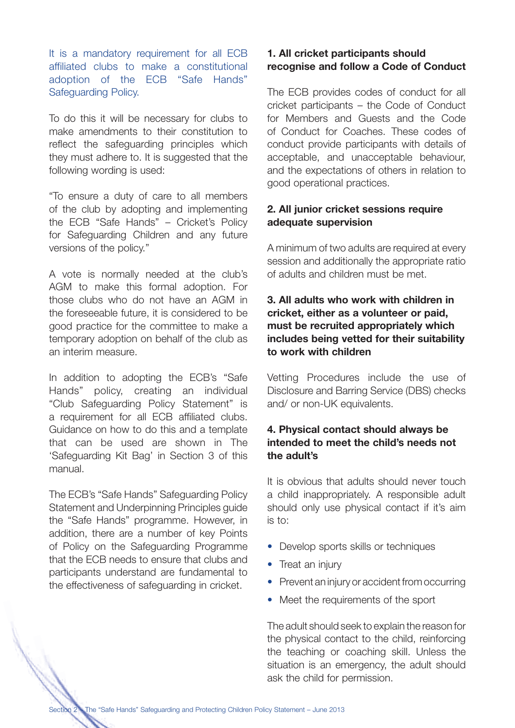It is a mandatory requirement for all ECB affiliated clubs to make a constitutional adoption of the ECB "Safe Hands" Safeguarding Policy.

To do this it will be necessary for clubs to make amendments to their constitution to reflect the safeguarding principles which they must adhere to. It is suggested that the following wording is used:

"To ensure a duty of care to all members of the club by adopting and implementing the ECB "Safe Hands" – Cricket's Policy for Safeguarding Children and any future versions of the policy."

A vote is normally needed at the club's AGM to make this formal adoption. For those clubs who do not have an AGM in the foreseeable future, it is considered to be good practice for the committee to make a temporary adoption on behalf of the club as an interim measure.

In addition to adopting the ECB's "Safe Hands" policy, creating an individual "Club Safeguarding Policy Statement" is a requirement for all ECB affiliated clubs. Guidance on how to do this and a template that can be used are shown in The 'Safeguarding Kit Bag' in Section 3 of this manual.

The ECB's "Safe Hands" Safeguarding Policy Statement and Underpinning Principles guide the "Safe Hands" programme. However, in addition, there are a number of key Points of Policy on the Safeguarding Programme that the ECB needs to ensure that clubs and participants understand are fundamental to the effectiveness of safeguarding in cricket.

### **1. All cricket participants should recognise and follow a Code of Conduct**

The ECB provides codes of conduct for all cricket participants – the Code of Conduct for Members and Guests and the Code of Conduct for Coaches. These codes of conduct provide participants with details of acceptable, and unacceptable behaviour, and the expectations of others in relation to good operational practices.

### **2. All junior cricket sessions require adequate supervision**

A minimum of two adults are required at every session and additionally the appropriate ratio of adults and children must be met.

### **3. All adults who work with children in cricket, either as a volunteer or paid, must be recruited appropriately which includes being vetted for their suitability to work with children**

Vetting Procedures include the use of Disclosure and Barring Service (DBS) checks and/ or non-UK equivalents.

### **4. Physical contact should always be intended to meet the child's needs not the adult's**

It is obvious that adults should never touch a child inappropriately. A responsible adult should only use physical contact if it's aim is to:

- Develop sports skills or techniques
- Treat an injury
- Prevent an injury or accident from occurring
- Meet the requirements of the sport

The adult should seek to explain the reason for the physical contact to the child, reinforcing the teaching or coaching skill. Unless the situation is an emergency, the adult should ask the child for permission.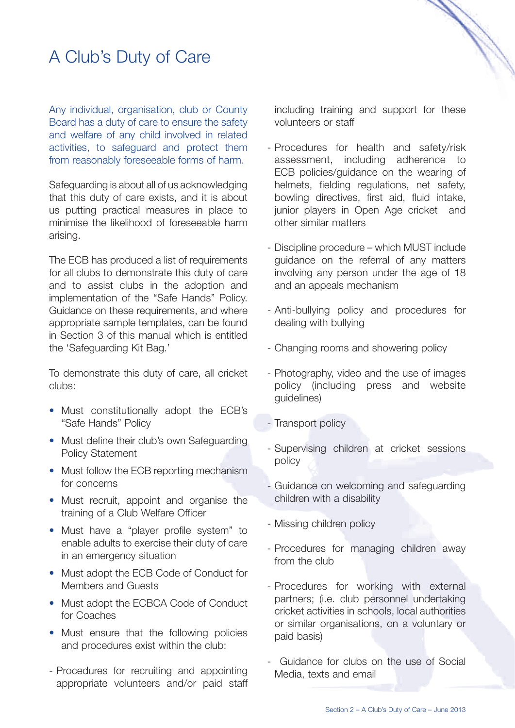# A Club's Duty of Care

Any individual, organisation, club or County Board has a duty of care to ensure the safety and welfare of any child involved in related activities, to safeguard and protect them from reasonably foreseeable forms of harm.

Safeguarding is about all of us acknowledging that this duty of care exists, and it is about us putting practical measures in place to minimise the likelihood of foreseeable harm arising.

The ECB has produced a list of requirements for all clubs to demonstrate this duty of care and to assist clubs in the adoption and implementation of the "Safe Hands" Policy. Guidance on these requirements, and where appropriate sample templates, can be found in Section 3 of this manual which is entitled the 'Safeguarding Kit Bag.'

To demonstrate this duty of care, all cricket clubs:

- Must constitutionally adopt the ECB's "Safe Hands" Policy
- Must define their club's own Safeguarding Policy Statement
- Must follow the ECB reporting mechanism for concerns
- Must recruit, appoint and organise the training of a Club Welfare Officer
- Must have a "player profile system" to enable adults to exercise their duty of care in an emergency situation
- Must adopt the ECB Code of Conduct for Members and Guests
- Must adopt the ECBCA Code of Conduct for Coaches
- Must ensure that the following policies and procedures exist within the club:
- Procedures for recruiting and appointing appropriate volunteers and/or paid staff

including training and support for these volunteers or staff

e de la cardina de la cardina de la cardina de la cardina de la cardina de la cardina de la cardina de la cardina de la cardina de la cardina de la cardina de la cardina de la cardina de la cardina de la cardina de la card

- Procedures for health and safety/risk assessment, including adherence to ECB policies/guidance on the wearing of helmets, fielding regulations, net safety, bowling directives, first aid, fluid intake, junior players in Open Age cricket and other similar matters
- Discipline procedure which MUST include guidance on the referral of any matters involving any person under the age of 18 and an appeals mechanism
- Anti-bullying policy and procedures for dealing with bullying
- Changing rooms and showering policy
- Photography, video and the use of images policy (including press and website guidelines)
- Transport policy
- Supervising children at cricket sessions policy
- Guidance on welcoming and safeguarding children with a disability
- Missing children policy
- Procedures for managing children away from the club
- Procedures for working with external partners; (i.e. club personnel undertaking cricket activities in schools, local authorities or similar organisations, on a voluntary or paid basis)
- Guidance for clubs on the use of Social Media, texts and email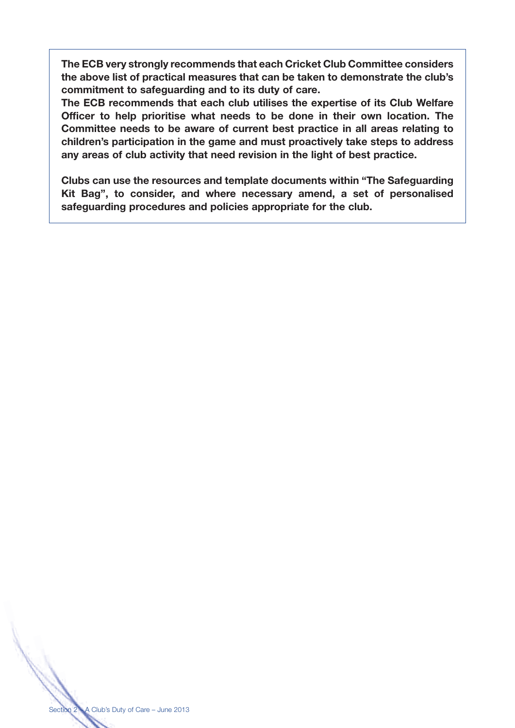**The ECB very strongly recommends that each Cricket Club Committee considers the above list of practical measures that can be taken to demonstrate the club's commitment to safeguarding and to its duty of care.**

**The ECB recommends that each club utilises the expertise of its Club Welfare Officer to help prioritise what needs to be done in their own location. The Committee needs to be aware of current best practice in all areas relating to children's participation in the game and must proactively take steps to address any areas of club activity that need revision in the light of best practice.**

**Clubs can use the resources and template documents within "The Safeguarding Kit Bag", to consider, and where necessary amend, a set of personalised safeguarding procedures and policies appropriate for the club.**

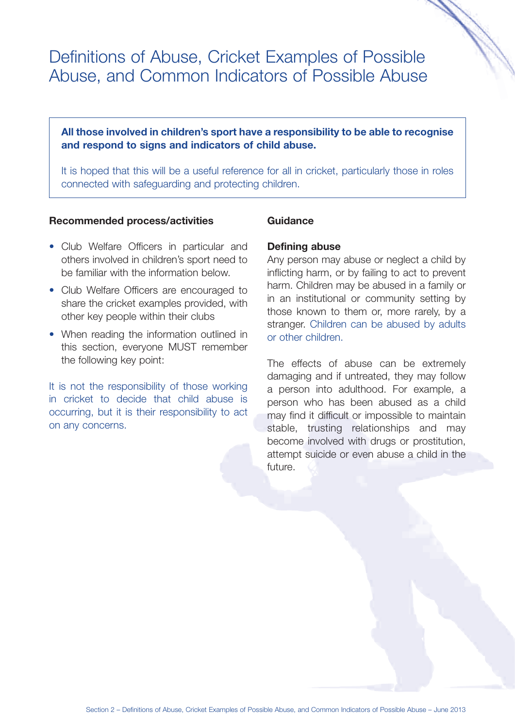## Definitions of Abuse, Cricket Examples of Possible Abuse, and Common Indicators of Possible Abuse

### **All those involved in children's sport have a responsibility to be able to recognise and respond to signs and indicators of child abuse.**

It is hoped that this will be a useful reference for all in cricket, particularly those in roles connected with safeguarding and protecting children.

#### **Recommended process/activities**

- Club Welfare Officers in particular and others involved in children's sport need to be familiar with the information below.
- Club Welfare Officers are encouraged to share the cricket examples provided, with other key people within their clubs
- When reading the information outlined in this section, everyone MUST remember the following key point:

It is not the responsibility of those working in cricket to decide that child abuse is occurring, but it is their responsibility to act on any concerns.

#### **Guidance**

#### **Defining abuse**

Any person may abuse or neglect a child by inflicting harm, or by failing to act to prevent harm. Children may be abused in a family or in an institutional or community setting by those known to them or, more rarely, by a stranger. Children can be abused by adults or other children.

The effects of abuse can be extremely damaging and if untreated, they may follow a person into adulthood. For example, a person who has been abused as a child may find it difficult or impossible to maintain stable, trusting relationships and may become involved with drugs or prostitution, attempt suicide or even abuse a child in the future.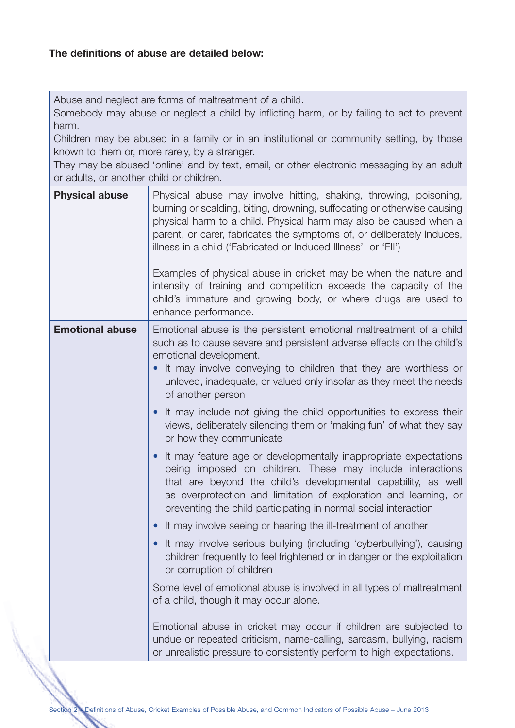Abuse and neglect are forms of maltreatment of a child.

Somebody may abuse or neglect a child by inflicting harm, or by failing to act to prevent harm.

Children may be abused in a family or in an institutional or community setting, by those known to them or, more rarely, by a stranger.

They may be abused 'online' and by text, email, or other electronic messaging by an adult or adults, or another child or children.

| <b>Physical abuse</b>  | Physical abuse may involve hitting, shaking, throwing, poisoning,<br>burning or scalding, biting, drowning, suffocating or otherwise causing<br>physical harm to a child. Physical harm may also be caused when a<br>parent, or carer, fabricates the symptoms of, or deliberately induces,<br>illness in a child ('Fabricated or Induced Illness' or 'FII') |
|------------------------|--------------------------------------------------------------------------------------------------------------------------------------------------------------------------------------------------------------------------------------------------------------------------------------------------------------------------------------------------------------|
|                        | Examples of physical abuse in cricket may be when the nature and<br>intensity of training and competition exceeds the capacity of the<br>child's immature and growing body, or where drugs are used to<br>enhance performance.                                                                                                                               |
| <b>Emotional abuse</b> | Emotional abuse is the persistent emotional maltreatment of a child<br>such as to cause severe and persistent adverse effects on the child's<br>emotional development.<br>It may involve conveying to children that they are worthless or<br>unloved, inadequate, or valued only insofar as they meet the needs<br>of another person                         |
|                        | It may include not giving the child opportunities to express their<br>views, deliberately silencing them or 'making fun' of what they say<br>or how they communicate                                                                                                                                                                                         |
|                        | It may feature age or developmentally inappropriate expectations<br>being imposed on children. These may include interactions<br>that are beyond the child's developmental capability, as well<br>as overprotection and limitation of exploration and learning, or<br>preventing the child participating in normal social interaction                        |
|                        | It may involve seeing or hearing the ill-treatment of another                                                                                                                                                                                                                                                                                                |
|                        | It may involve serious bullying (including 'cyberbullying'), causing<br>children frequently to feel frightened or in danger or the exploitation<br>or corruption of children                                                                                                                                                                                 |
|                        | Some level of emotional abuse is involved in all types of maltreatment<br>of a child, though it may occur alone.                                                                                                                                                                                                                                             |
|                        | Emotional abuse in cricket may occur if children are subjected to<br>undue or repeated criticism, name-calling, sarcasm, bullying, racism<br>or unrealistic pressure to consistently perform to high expectations.                                                                                                                                           |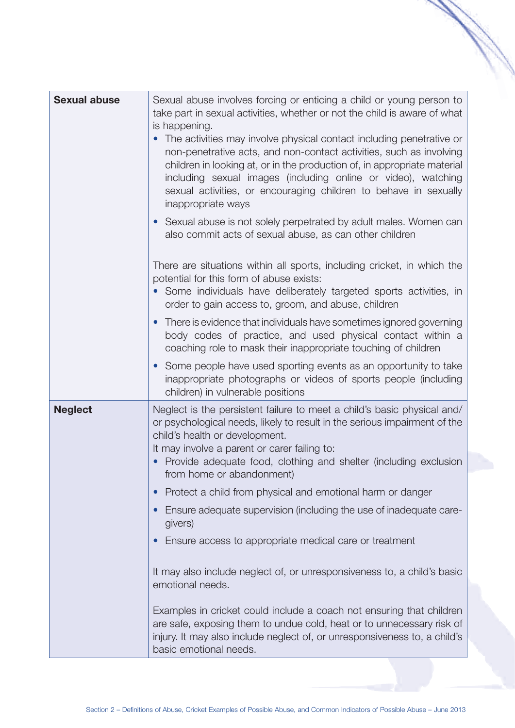| <b>Sexual abuse</b> | Sexual abuse involves forcing or enticing a child or young person to<br>take part in sexual activities, whether or not the child is aware of what<br>is happening.<br>The activities may involve physical contact including penetrative or<br>non-penetrative acts, and non-contact activities, such as involving<br>children in looking at, or in the production of, in appropriate material<br>including sexual images (including online or video), watching<br>sexual activities, or encouraging children to behave in sexually<br>inappropriate ways<br>Sexual abuse is not solely perpetrated by adult males. Women can<br>also commit acts of sexual abuse, as can other children<br>There are situations within all sports, including cricket, in which the<br>potential for this form of abuse exists:<br>Some individuals have deliberately targeted sports activities, in<br>order to gain access to, groom, and abuse, children |
|---------------------|--------------------------------------------------------------------------------------------------------------------------------------------------------------------------------------------------------------------------------------------------------------------------------------------------------------------------------------------------------------------------------------------------------------------------------------------------------------------------------------------------------------------------------------------------------------------------------------------------------------------------------------------------------------------------------------------------------------------------------------------------------------------------------------------------------------------------------------------------------------------------------------------------------------------------------------------|
|                     | There is evidence that individuals have sometimes ignored governing<br>body codes of practice, and used physical contact within a<br>coaching role to mask their inappropriate touching of children                                                                                                                                                                                                                                                                                                                                                                                                                                                                                                                                                                                                                                                                                                                                        |
|                     | Some people have used sporting events as an opportunity to take<br>inappropriate photographs or videos of sports people (including<br>children) in vulnerable positions                                                                                                                                                                                                                                                                                                                                                                                                                                                                                                                                                                                                                                                                                                                                                                    |
| <b>Neglect</b>      | Neglect is the persistent failure to meet a child's basic physical and/<br>or psychological needs, likely to result in the serious impairment of the<br>child's health or development.<br>It may involve a parent or carer failing to:<br>Provide adequate food, clothing and shelter (including exclusion<br>from home or abandonment)                                                                                                                                                                                                                                                                                                                                                                                                                                                                                                                                                                                                    |
|                     | Protect a child from physical and emotional harm or danger                                                                                                                                                                                                                                                                                                                                                                                                                                                                                                                                                                                                                                                                                                                                                                                                                                                                                 |
|                     | Ensure adequate supervision (including the use of inadequate care-<br>givers)                                                                                                                                                                                                                                                                                                                                                                                                                                                                                                                                                                                                                                                                                                                                                                                                                                                              |
|                     | Ensure access to appropriate medical care or treatment                                                                                                                                                                                                                                                                                                                                                                                                                                                                                                                                                                                                                                                                                                                                                                                                                                                                                     |
|                     | It may also include neglect of, or unresponsiveness to, a child's basic<br>emotional needs.                                                                                                                                                                                                                                                                                                                                                                                                                                                                                                                                                                                                                                                                                                                                                                                                                                                |
|                     | Examples in cricket could include a coach not ensuring that children<br>are safe, exposing them to undue cold, heat or to unnecessary risk of<br>injury. It may also include neglect of, or unresponsiveness to, a child's<br>basic emotional needs.                                                                                                                                                                                                                                                                                                                                                                                                                                                                                                                                                                                                                                                                                       |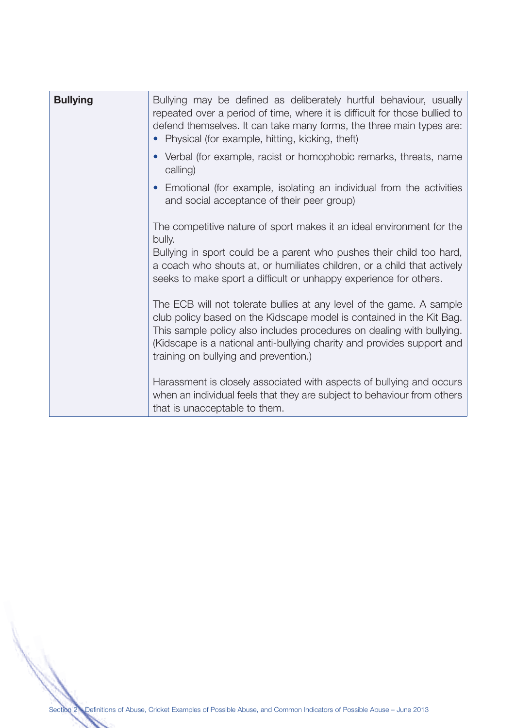| <b>Bullying</b> | Bullying may be defined as deliberately hurtful behaviour, usually<br>repeated over a period of time, where it is difficult for those bullied to<br>defend themselves. It can take many forms, the three main types are:<br>Physical (for example, hitting, kicking, theft)                                                              |
|-----------------|------------------------------------------------------------------------------------------------------------------------------------------------------------------------------------------------------------------------------------------------------------------------------------------------------------------------------------------|
|                 | Verbal (for example, racist or homophobic remarks, threats, name<br>calling)                                                                                                                                                                                                                                                             |
|                 | Emotional (for example, isolating an individual from the activities<br>and social acceptance of their peer group)                                                                                                                                                                                                                        |
|                 | The competitive nature of sport makes it an ideal environment for the<br>bully.                                                                                                                                                                                                                                                          |
|                 | Bullying in sport could be a parent who pushes their child too hard,<br>a coach who shouts at, or humiliates children, or a child that actively<br>seeks to make sport a difficult or unhappy experience for others.                                                                                                                     |
|                 | The ECB will not tolerate bullies at any level of the game. A sample<br>club policy based on the Kidscape model is contained in the Kit Bag.<br>This sample policy also includes procedures on dealing with bullying.<br>(Kidscape is a national anti-bullying charity and provides support and<br>training on bullying and prevention.) |
|                 | Harassment is closely associated with aspects of bullying and occurs<br>when an individual feels that they are subject to behaviour from others<br>that is unacceptable to them.                                                                                                                                                         |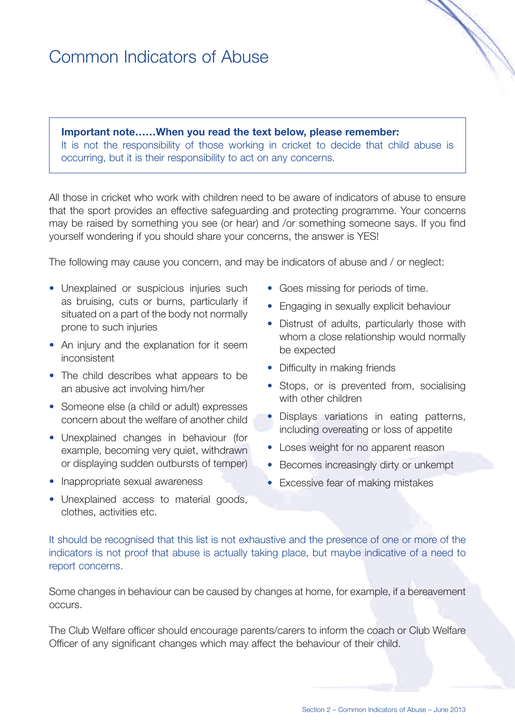# Common Indicators of Abuse

**Important note……When you read the text below, please remember:** It is not the responsibility of those working in cricket to decide that child abuse is occurring, but it is their responsibility to act on any concerns.

All those in cricket who work with children need to be aware of indicators of abuse to ensure that the sport provides an effective safeguarding and protecting programme. Your concerns may be raised by something you see (or hear) and /or something someone says. If you find yourself wondering if you should share your concerns, the answer is YES!

The following may cause you concern, and may be indicators of abuse and / or neglect:

- Unexplained or suspicious injuries such as bruising, cuts or burns, particularly if situated on a part of the body not normally prone to such injuries
- An injury and the explanation for it seem inconsistent
- The child describes what appears to be an abusive act involving him/her
- Someone else (a child or adult) expresses concern about the welfare of another child
- Unexplained changes in behaviour (for example, becoming very quiet, withdrawn or displaying sudden outbursts of temper)
- Inappropriate sexual awareness
- Goes missing for periods of time.
- Engaging in sexually explicit behaviour
- Distrust of adults, particularly those with whom a close relationship would normally be expected
- Difficulty in making friends
- Stops, or is prevented from, socialising with other children
- Displays variations in eating patterns, including overeating or loss of appetite
- Loses weight for no apparent reason
- Becomes increasingly dirty or unkempt
- Excessive fear of making mistakes
- Unexplained access to material goods, clothes, activities etc.

It should be recognised that this list is not exhaustive and the presence of one or more of the indicators is not proof that abuse is actually taking place, but maybe indicative of a need to report concerns.

Some changes in behaviour can be caused by changes at home, for example, if a bereavement occurs.

The Club Welfare officer should encourage parents/carers to inform the coach or Club Welfare Officer of any significant changes which may affect the behaviour of their child.